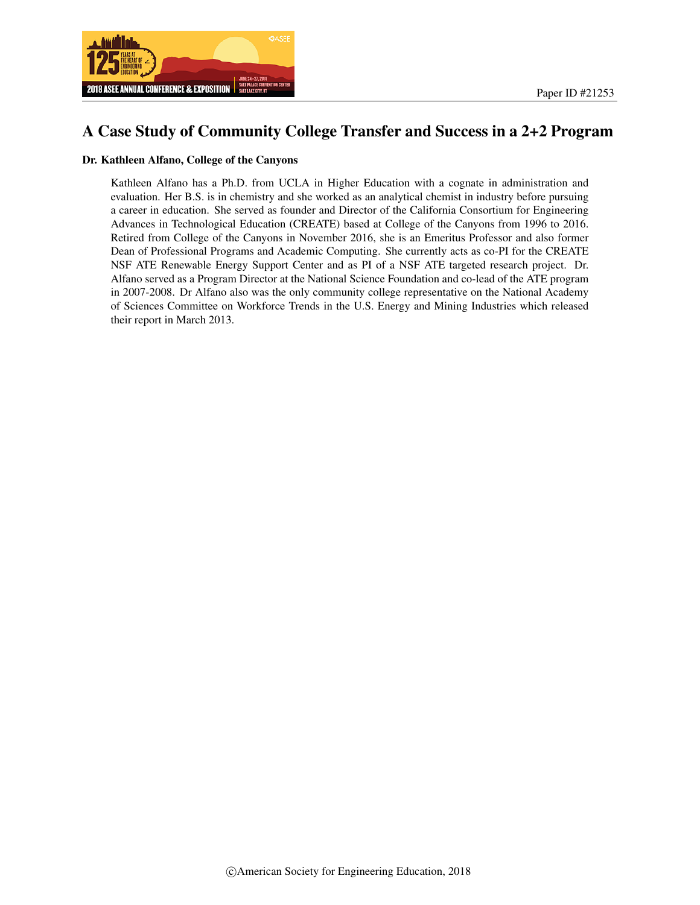

## A Case Study of Community College Transfer and Success in a 2+2 Program

#### Dr. Kathleen Alfano, College of the Canyons

Kathleen Alfano has a Ph.D. from UCLA in Higher Education with a cognate in administration and evaluation. Her B.S. is in chemistry and she worked as an analytical chemist in industry before pursuing a career in education. She served as founder and Director of the California Consortium for Engineering Advances in Technological Education (CREATE) based at College of the Canyons from 1996 to 2016. Retired from College of the Canyons in November 2016, she is an Emeritus Professor and also former Dean of Professional Programs and Academic Computing. She currently acts as co-PI for the CREATE NSF ATE Renewable Energy Support Center and as PI of a NSF ATE targeted research project. Dr. Alfano served as a Program Director at the National Science Foundation and co-lead of the ATE program in 2007-2008. Dr Alfano also was the only community college representative on the National Academy of Sciences Committee on Workforce Trends in the U.S. Energy and Mining Industries which released their report in March 2013.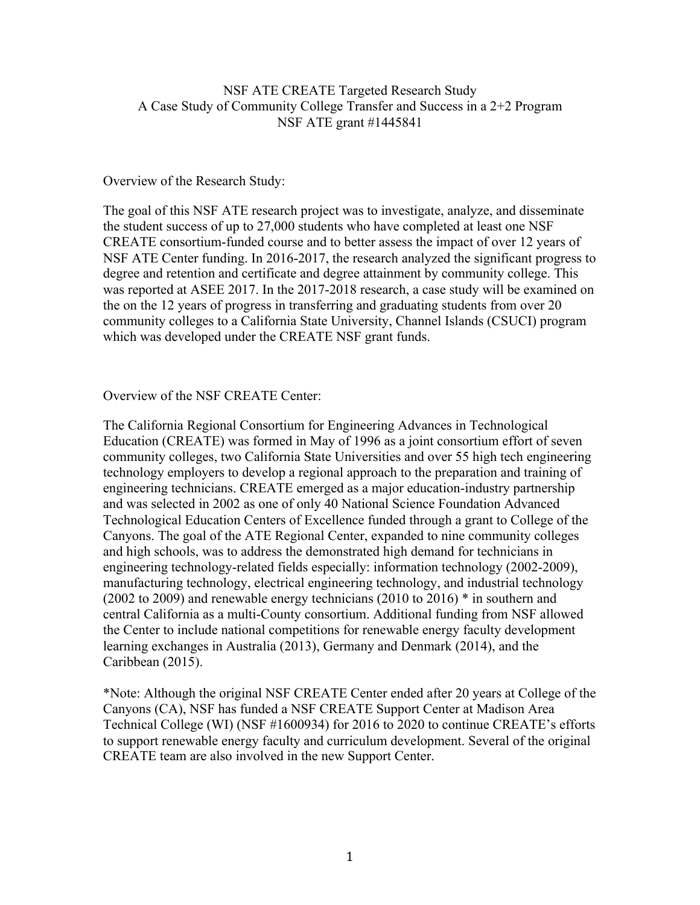### NSF ATE CREATE Targeted Research Study A Case Study of Community College Transfer and Success in a 2+2 Program NSF ATE grant #1445841

#### Overview of the Research Study:

The goal of this NSF ATE research project was to investigate, analyze, and disseminate the student success of up to 27,000 students who have completed at least one NSF CREATE consortium-funded course and to better assess the impact of over 12 years of NSF ATE Center funding. In 2016-2017, the research analyzed the significant progress to degree and retention and certificate and degree attainment by community college. This was reported at ASEE 2017. In the 2017-2018 research, a case study will be examined on the on the 12 years of progress in transferring and graduating students from over 20 community colleges to a California State University, Channel Islands (CSUCI) program which was developed under the CREATE NSF grant funds.

Overview of the NSF CREATE Center:

The California Regional Consortium for Engineering Advances in Technological Education (CREATE) was formed in May of 1996 as a joint consortium effort of seven community colleges, two California State Universities and over 55 high tech engineering technology employers to develop a regional approach to the preparation and training of engineering technicians. CREATE emerged as a major education-industry partnership and was selected in 2002 as one of only 40 National Science Foundation Advanced Technological Education Centers of Excellence funded through a grant to College of the Canyons. The goal of the ATE Regional Center, expanded to nine community colleges and high schools, was to address the demonstrated high demand for technicians in engineering technology-related fields especially: information technology (2002-2009), manufacturing technology, electrical engineering technology, and industrial technology (2002 to 2009) and renewable energy technicians (2010 to 2016) \* in southern and central California as a multi-County consortium. Additional funding from NSF allowed the Center to include national competitions for renewable energy faculty development learning exchanges in Australia (2013), Germany and Denmark (2014), and the Caribbean (2015).

\*Note: Although the original NSF CREATE Center ended after 20 years at College of the Canyons (CA), NSF has funded a NSF CREATE Support Center at Madison Area Technical College (WI) (NSF #1600934) for 2016 to 2020 to continue CREATE's efforts to support renewable energy faculty and curriculum development. Several of the original CREATE team are also involved in the new Support Center.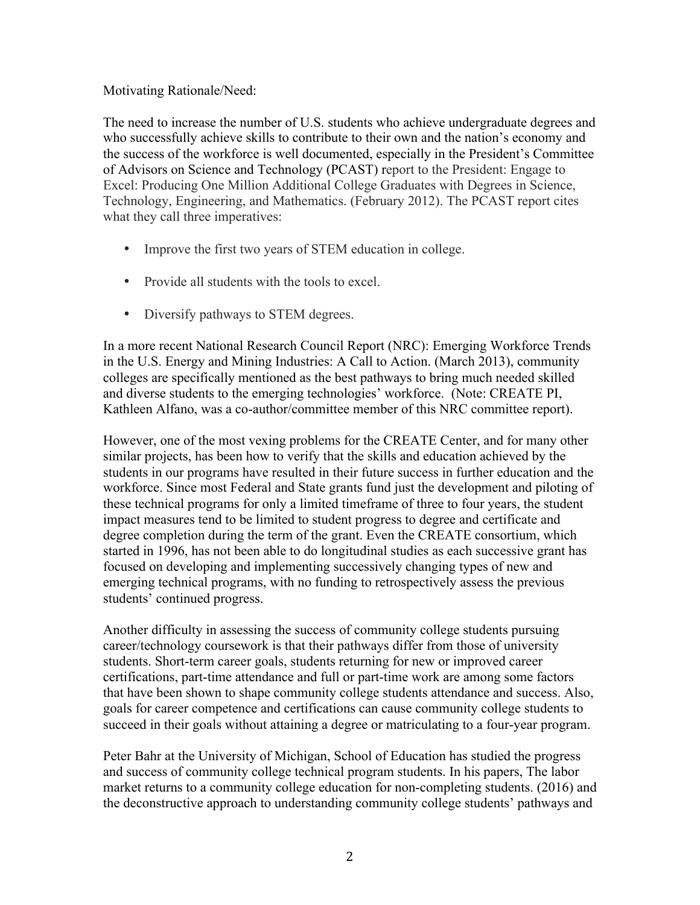### Motivating Rationale/Need:

The need to increase the number of U.S. students who achieve undergraduate degrees and who successfully achieve skills to contribute to their own and the nation's economy and the success of the workforce is well documented, especially in the President's Committee of Advisors on Science and Technology (PCAST) report to the President: Engage to Excel: Producing One Million Additional College Graduates with Degrees in Science, Technology, Engineering, and Mathematics. (February 2012). The PCAST report cites what they call three imperatives:

- Improve the first two years of STEM education in college.
- Provide all students with the tools to excel.
- Diversify pathways to STEM degrees.

In a more recent National Research Council Report (NRC): Emerging Workforce Trends in the U.S. Energy and Mining Industries: A Call to Action. (March 2013), community colleges are specifically mentioned as the best pathways to bring much needed skilled and diverse students to the emerging technologies' workforce. (Note: CREATE PI, Kathleen Alfano, was a co-author/committee member of this NRC committee report).

However, one of the most vexing problems for the CREATE Center, and for many other similar projects, has been how to verify that the skills and education achieved by the students in our programs have resulted in their future success in further education and the workforce. Since most Federal and State grants fund just the development and piloting of these technical programs for only a limited timeframe of three to four years, the student impact measures tend to be limited to student progress to degree and certificate and degree completion during the term of the grant. Even the CREATE consortium, which started in 1996, has not been able to do longitudinal studies as each successive grant has focused on developing and implementing successively changing types of new and emerging technical programs, with no funding to retrospectively assess the previous students' continued progress.

Another difficulty in assessing the success of community college students pursuing career/technology coursework is that their pathways differ from those of university students. Short-term career goals, students returning for new or improved career certifications, part-time attendance and full or part-time work are among some factors that have been shown to shape community college students attendance and success. Also, goals for career competence and certifications can cause community college students to succeed in their goals without attaining a degree or matriculating to a four-year program.

Peter Bahr at the University of Michigan, School of Education has studied the progress and success of community college technical program students. In his papers, The labor market returns to a community college education for non-completing students. (2016) and the deconstructive approach to understanding community college students' pathways and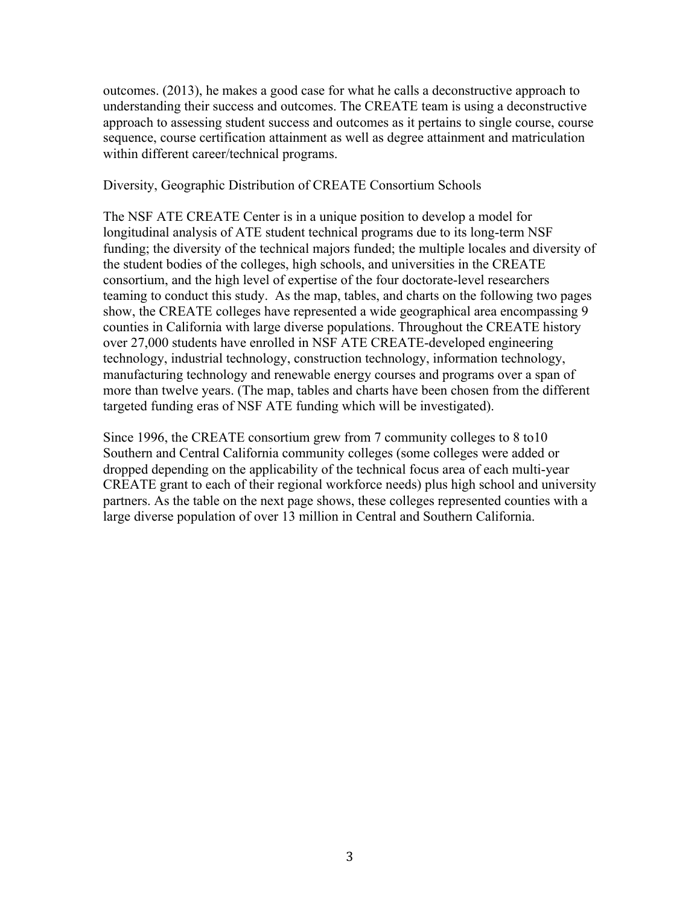outcomes. (2013), he makes a good case for what he calls a deconstructive approach to understanding their success and outcomes. The CREATE team is using a deconstructive approach to assessing student success and outcomes as it pertains to single course, course sequence, course certification attainment as well as degree attainment and matriculation within different career/technical programs.

Diversity, Geographic Distribution of CREATE Consortium Schools

The NSF ATE CREATE Center is in a unique position to develop a model for longitudinal analysis of ATE student technical programs due to its long-term NSF funding; the diversity of the technical majors funded; the multiple locales and diversity of the student bodies of the colleges, high schools, and universities in the CREATE consortium, and the high level of expertise of the four doctorate-level researchers teaming to conduct this study. As the map, tables, and charts on the following two pages show, the CREATE colleges have represented a wide geographical area encompassing 9 counties in California with large diverse populations. Throughout the CREATE history over 27,000 students have enrolled in NSF ATE CREATE-developed engineering technology, industrial technology, construction technology, information technology, manufacturing technology and renewable energy courses and programs over a span of more than twelve years. (The map, tables and charts have been chosen from the different targeted funding eras of NSF ATE funding which will be investigated).

Since 1996, the CREATE consortium grew from 7 community colleges to 8 to10 Southern and Central California community colleges (some colleges were added or dropped depending on the applicability of the technical focus area of each multi-year CREATE grant to each of their regional workforce needs) plus high school and university partners. As the table on the next page shows, these colleges represented counties with a large diverse population of over 13 million in Central and Southern California.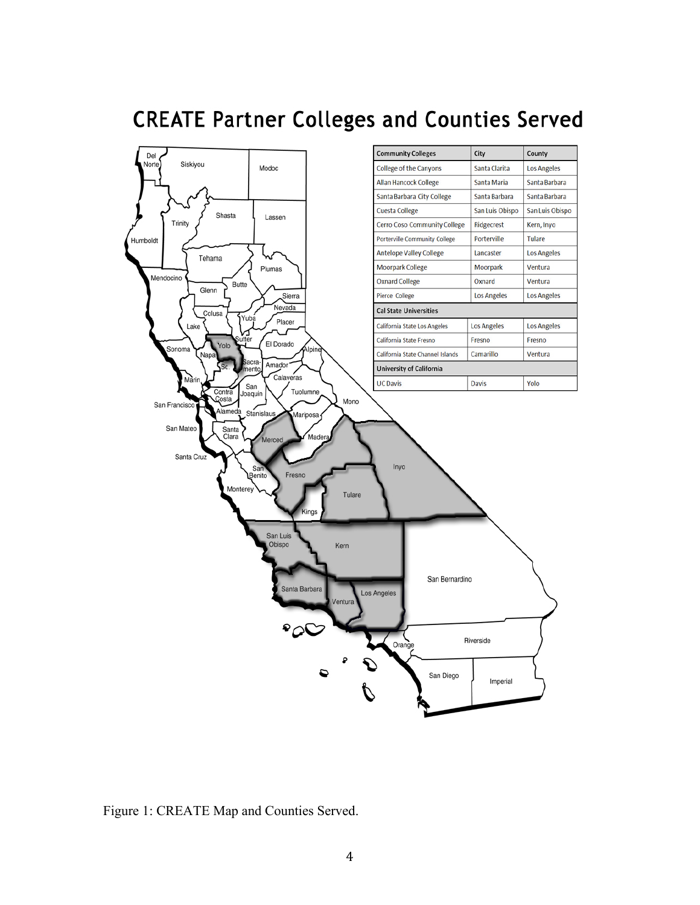

# **CREATE Partner Colleges and Counties Served**

Figure 1: CREATE Map and Counties Served.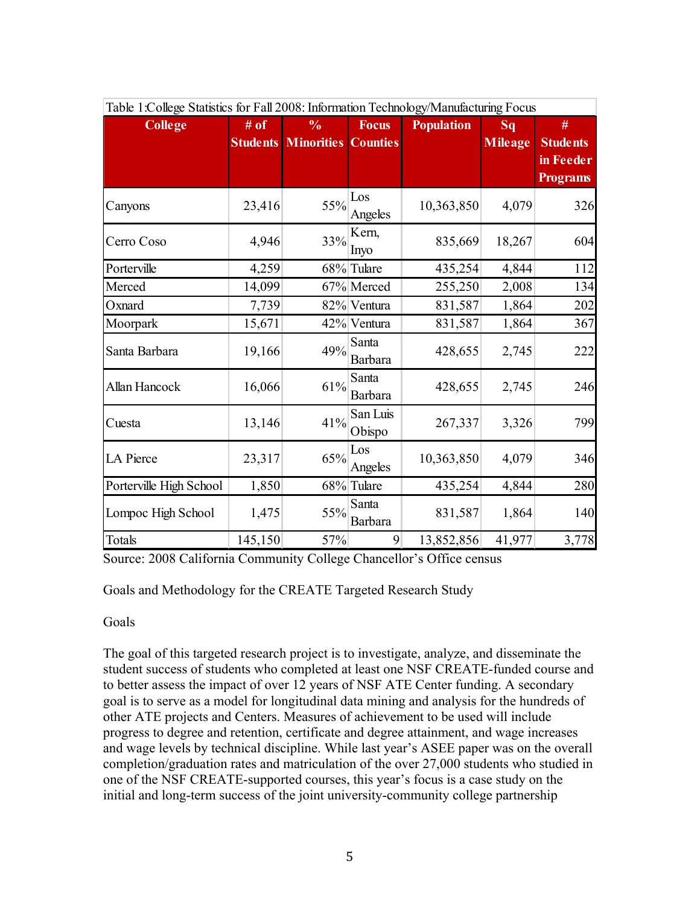| Table T:College Statistics for Fall 2008: Information Technology/Manufacturing Focus |         |                                     |                    |                   |                |                                                 |
|--------------------------------------------------------------------------------------|---------|-------------------------------------|--------------------|-------------------|----------------|-------------------------------------------------|
| <b>College</b>                                                                       | # of    | $\frac{0}{0}$                       | <b>Focus</b>       | <b>Population</b> | Sq             | #                                               |
|                                                                                      |         | <b>Students Minorities Counties</b> |                    |                   | <b>Mileage</b> | <b>Students</b><br>in Feeder<br><b>Programs</b> |
| Canyons                                                                              | 23,416  | 55%                                 | Los<br>Angeles     | 10,363,850        | 4,079          | 326                                             |
| Cerro Coso                                                                           | 4,946   | 33%                                 | Kern,<br>Inyo      | 835,669           | 18,267         | 604                                             |
| Porterville                                                                          | 4,259   |                                     | 68% Tulare         | 435,254           | 4,844          | 112                                             |
| Merced                                                                               | 14,099  |                                     | 67% Merced         | 255,250           | 2,008          | 134                                             |
| Oxnard                                                                               | 7,739   |                                     | 82% Ventura        | 831,587           | 1,864          | 202                                             |
| Moorpark                                                                             | 15,671  |                                     | 42% Ventura        | 831,587           | 1,864          | 367                                             |
| Santa Barbara                                                                        | 19,166  | 49%                                 | Santa<br>Barbara   | 428,655           | 2,745          | 222                                             |
| Allan Hancock                                                                        | 16,066  | 61%                                 | Santa<br>Barbara   | 428,655           | 2,745          | 246                                             |
| Cuesta                                                                               | 13,146  | 41%                                 | San Luis<br>Obispo | 267,337           | 3,326          | 799                                             |
| LA Pierce                                                                            | 23,317  | 65%                                 | Los<br>Angeles     | 10,363,850        | 4,079          | 346                                             |
| Porterville High School                                                              | 1,850   |                                     | 68% Tulare         | 435,254           | 4,844          | 280                                             |
| Lompoc High School                                                                   | 1,475   | 55%                                 | Santa<br>Barbara   | 831,587           | 1,864          | 140                                             |
| Totals                                                                               | 145,150 | 57%                                 | 9                  | 13,852,856        | 41,977         | 3,778                                           |

Table 1:College Statistics for Fall 2008: Information Technology/Manufacturing Focus

Source: 2008 California Community College Chancellor's Office census

Goals and Methodology for the CREATE Targeted Research Study

## Goals

The goal of this targeted research project is to investigate, analyze, and disseminate the student success of students who completed at least one NSF CREATE-funded course and to better assess the impact of over 12 years of NSF ATE Center funding. A secondary goal is to serve as a model for longitudinal data mining and analysis for the hundreds of other ATE projects and Centers. Measures of achievement to be used will include progress to degree and retention, certificate and degree attainment, and wage increases and wage levels by technical discipline. While last year's ASEE paper was on the overall completion/graduation rates and matriculation of the over 27,000 students who studied in one of the NSF CREATE-supported courses, this year's focus is a case study on the initial and long-term success of the joint university-community college partnership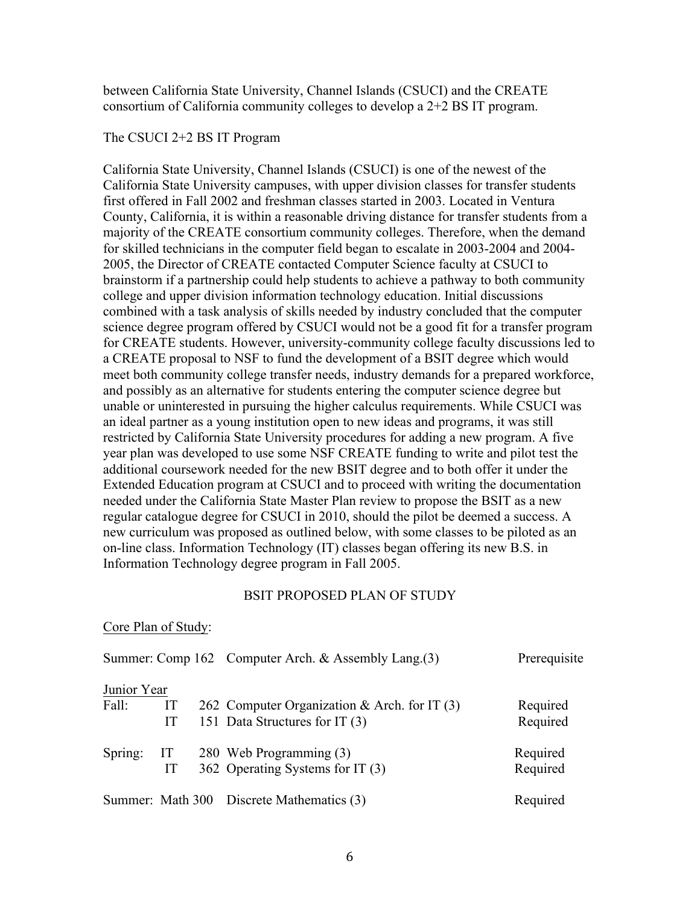between California State University, Channel Islands (CSUCI) and the CREATE consortium of California community colleges to develop a 2+2 BS IT program.

#### The CSUCI 2+2 BS IT Program

California State University, Channel Islands (CSUCI) is one of the newest of the California State University campuses, with upper division classes for transfer students first offered in Fall 2002 and freshman classes started in 2003. Located in Ventura County, California, it is within a reasonable driving distance for transfer students from a majority of the CREATE consortium community colleges. Therefore, when the demand for skilled technicians in the computer field began to escalate in 2003-2004 and 2004- 2005, the Director of CREATE contacted Computer Science faculty at CSUCI to brainstorm if a partnership could help students to achieve a pathway to both community college and upper division information technology education. Initial discussions combined with a task analysis of skills needed by industry concluded that the computer science degree program offered by CSUCI would not be a good fit for a transfer program for CREATE students. However, university-community college faculty discussions led to a CREATE proposal to NSF to fund the development of a BSIT degree which would meet both community college transfer needs, industry demands for a prepared workforce, and possibly as an alternative for students entering the computer science degree but unable or uninterested in pursuing the higher calculus requirements. While CSUCI was an ideal partner as a young institution open to new ideas and programs, it was still restricted by California State University procedures for adding a new program. A five year plan was developed to use some NSF CREATE funding to write and pilot test the additional coursework needed for the new BSIT degree and to both offer it under the Extended Education program at CSUCI and to proceed with writing the documentation needed under the California State Master Plan review to propose the BSIT as a new regular catalogue degree for CSUCI in 2010, should the pilot be deemed a success. A new curriculum was proposed as outlined below, with some classes to be piloted as an on-line class. Information Technology (IT) classes began offering its new B.S. in Information Technology degree program in Fall 2005.

#### BSIT PROPOSED PLAN OF STUDY

#### Core Plan of Study:

|             |    | Summer: Comp 162 Computer Arch. & Assembly Lang.(3) | Prerequisite |
|-------------|----|-----------------------------------------------------|--------------|
| Junior Year |    |                                                     |              |
| Fall:       | IT | 262 Computer Organization & Arch. for IT $(3)$      | Required     |
|             | IT | 151 Data Structures for IT (3)                      | Required     |
| Spring:     | IT | 280 Web Programming (3)                             | Required     |
|             | IT | 362 Operating Systems for IT (3)                    | Required     |
|             |    | Summer: Math 300 Discrete Mathematics (3)           | Required     |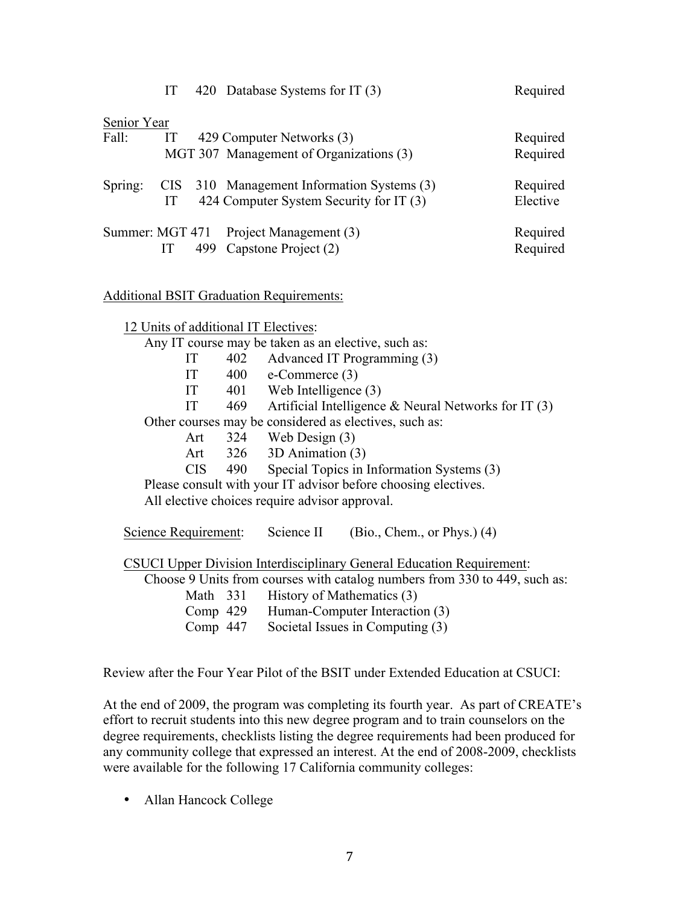|             | IT |     | 420 Database Systems for IT (3)            | Required |
|-------------|----|-----|--------------------------------------------|----------|
| Senior Year |    |     |                                            |          |
| Fall:       | IT |     | 429 Computer Networks (3)                  | Required |
|             |    |     | MGT 307 Management of Organizations (3)    | Required |
| Spring:     |    |     | CIS 310 Management Information Systems (3) | Required |
|             | IТ |     | 424 Computer System Security for IT (3)    | Elective |
|             |    |     | Summer: MGT 471 Project Management (3)     | Required |
|             | IT | 499 | Capstone Project (2)                       | Required |
|             |    |     |                                            |          |

Additional BSIT Graduation Requirements:

12 Units of additional IT Electives:

Any IT course may be taken as an elective, such as:

| IT | 402 | Advanced IT Programming (3) |  |
|----|-----|-----------------------------|--|
|    |     |                             |  |

IT 400 e-Commerce (3)

- IT 401 Web Intelligence (3)
- IT 469 Artificial Intelligence & Neural Networks for IT (3)

Other courses may be considered as electives, such as:

- Art 324 Web Design (3)
- Art 326 3D Animation (3)
- CIS 490 Special Topics in Information Systems (3)

Please consult with your IT advisor before choosing electives.

All elective choices require advisor approval.

Science Requirement: Science II (Bio., Chem., or Phys.) (4)

CSUCI Upper Division Interdisciplinary General Education Requirement:

Choose 9 Units from courses with catalog numbers from 330 to 449, such as:

| Math 331   | History of Mathematics (3)       |
|------------|----------------------------------|
| Comp $429$ | Human-Computer Interaction (3)   |
| Comp $447$ | Societal Issues in Computing (3) |

Review after the Four Year Pilot of the BSIT under Extended Education at CSUCI:

At the end of 2009, the program was completing its fourth year. As part of CREATE's effort to recruit students into this new degree program and to train counselors on the degree requirements, checklists listing the degree requirements had been produced for any community college that expressed an interest. At the end of 2008-2009, checklists were available for the following 17 California community colleges:

• Allan Hancock College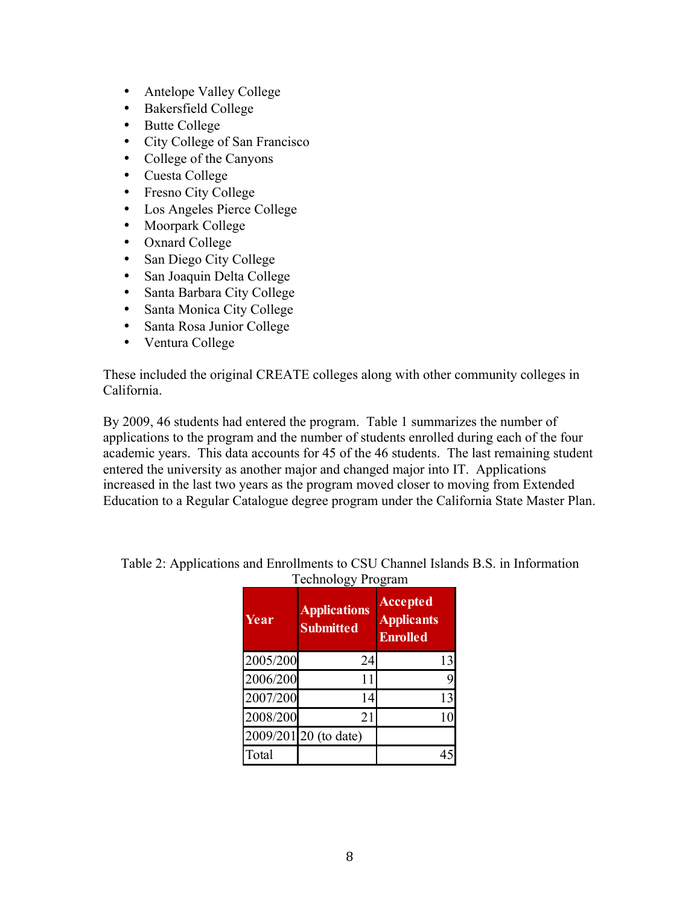- Antelope Valley College
- Bakersfield College
- Butte College
- City College of San Francisco
- College of the Canyons
- Cuesta College
- Fresno City College
- Los Angeles Pierce College
- Moorpark College
- Oxnard College
- San Diego City College
- San Joaquin Delta College
- Santa Barbara City College
- Santa Monica City College
- Santa Rosa Junior College
- Ventura College

These included the original CREATE colleges along with other community colleges in California.

By 2009, 46 students had entered the program. Table 1 summarizes the number of applications to the program and the number of students enrolled during each of the four academic years. This data accounts for 45 of the 46 students. The last remaining student entered the university as another major and changed major into IT. Applications increased in the last two years as the program moved closer to moving from Extended Education to a Regular Catalogue degree program under the California State Master Plan.

| Year     | <b>Applications</b><br><b>Submitted</b> | <b>Accepted</b><br><b>Applicants</b><br><b>Enrolled</b> |
|----------|-----------------------------------------|---------------------------------------------------------|
| 2005/200 | 24                                      | 13                                                      |
| 2006/200 | 11                                      |                                                         |
| 2007/200 | 14                                      | 13                                                      |
| 2008/200 | 21                                      |                                                         |
|          | 2009/201 20 (to date)                   |                                                         |
| Total    |                                         |                                                         |

Table 2: Applications and Enrollments to CSU Channel Islands B.S. in Information Technology Program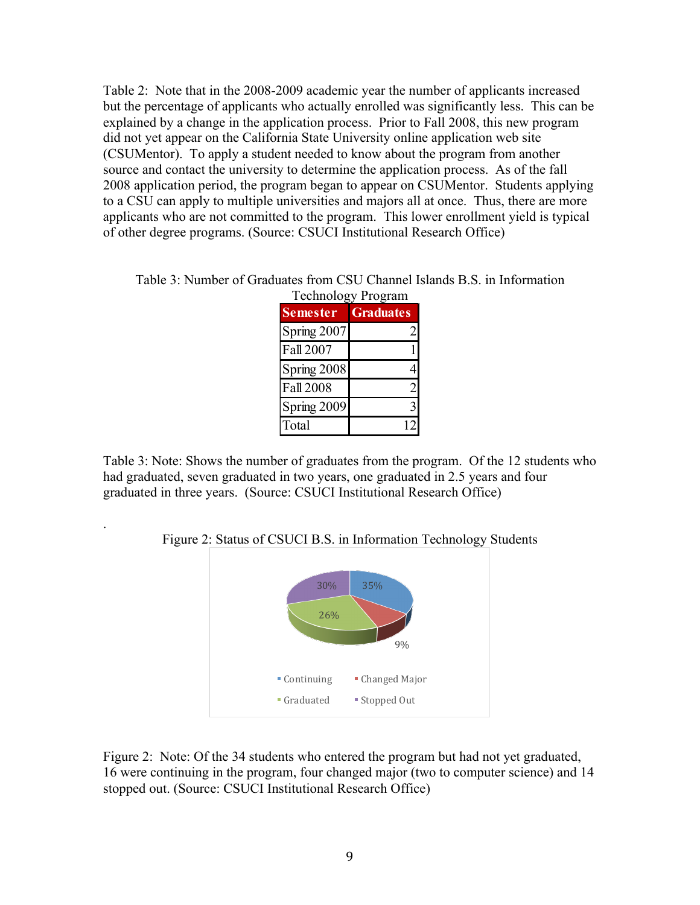Table 2: Note that in the 2008-2009 academic year the number of applicants increased but the percentage of applicants who actually enrolled was significantly less. This can be explained by a change in the application process. Prior to Fall 2008, this new program did not yet appear on the California State University online application web site (CSUMentor). To apply a student needed to know about the program from another source and contact the university to determine the application process. As of the fall 2008 application period, the program began to appear on CSUMentor. Students applying to a CSU can apply to multiple universities and majors all at once. Thus, there are more applicants who are not committed to the program. This lower enrollment yield is typical of other degree programs. (Source: CSUCI Institutional Research Office)

Table 3: Number of Graduates from CSU Channel Islands B.S. in Information Technology Program

|                  | Technology Program |
|------------------|--------------------|
| <b>Semester</b>  | <b>Graduates</b>   |
| Spring 2007      | 2                  |
| <b>Fall 2007</b> |                    |
| Spring 2008      |                    |
| <b>Fall 2008</b> | $\overline{2}$     |
| Spring 2009      | 3                  |
| Total            |                    |

Table 3: Note: Shows the number of graduates from the program. Of the 12 students who had graduated, seven graduated in two years, one graduated in 2.5 years and four graduated in three years. (Source: CSUCI Institutional Research Office)

Figure 2: Status of CSUCI B.S. in Information Technology Students

.



Figure 2: Note: Of the 34 students who entered the program but had not yet graduated, 16 were continuing in the program, four changed major (two to computer science) and 14 stopped out. (Source: CSUCI Institutional Research Office)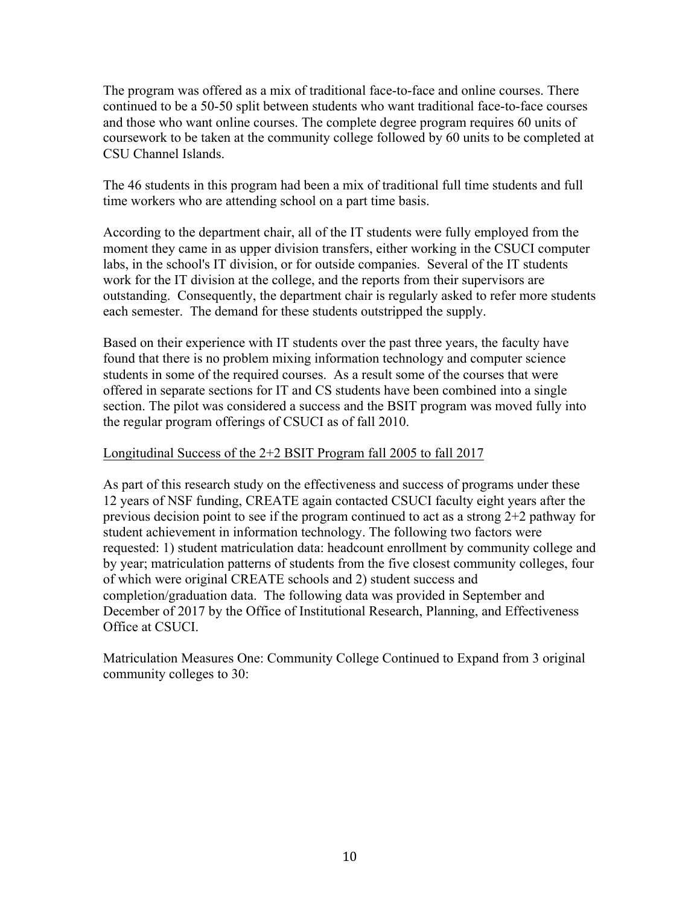The program was offered as a mix of traditional face-to-face and online courses. There continued to be a 50-50 split between students who want traditional face-to-face courses and those who want online courses. The complete degree program requires 60 units of coursework to be taken at the community college followed by 60 units to be completed at CSU Channel Islands.

The 46 students in this program had been a mix of traditional full time students and full time workers who are attending school on a part time basis.

According to the department chair, all of the IT students were fully employed from the moment they came in as upper division transfers, either working in the CSUCI computer labs, in the school's IT division, or for outside companies. Several of the IT students work for the IT division at the college, and the reports from their supervisors are outstanding. Consequently, the department chair is regularly asked to refer more students each semester. The demand for these students outstripped the supply.

Based on their experience with IT students over the past three years, the faculty have found that there is no problem mixing information technology and computer science students in some of the required courses. As a result some of the courses that were offered in separate sections for IT and CS students have been combined into a single section. The pilot was considered a success and the BSIT program was moved fully into the regular program offerings of CSUCI as of fall 2010.

## Longitudinal Success of the 2+2 BSIT Program fall 2005 to fall 2017

As part of this research study on the effectiveness and success of programs under these 12 years of NSF funding, CREATE again contacted CSUCI faculty eight years after the previous decision point to see if the program continued to act as a strong 2+2 pathway for student achievement in information technology. The following two factors were requested: 1) student matriculation data: headcount enrollment by community college and by year; matriculation patterns of students from the five closest community colleges, four of which were original CREATE schools and 2) student success and completion/graduation data. The following data was provided in September and December of 2017 by the Office of Institutional Research, Planning, and Effectiveness Office at CSUCI.

Matriculation Measures One: Community College Continued to Expand from 3 original community colleges to 30: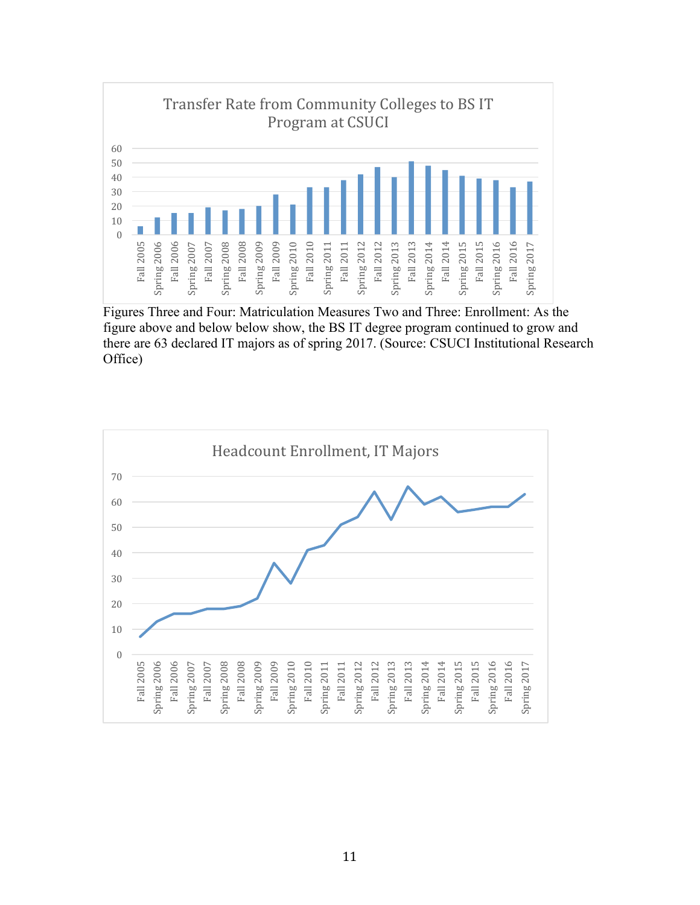

Figures Three and Four: Matriculation Measures Two and Three: Enrollment: As the figure above and below below show, the BS IT degree program continued to grow and there are 63 declared IT majors as of spring 2017. (Source: CSUCI Institutional Research Office)

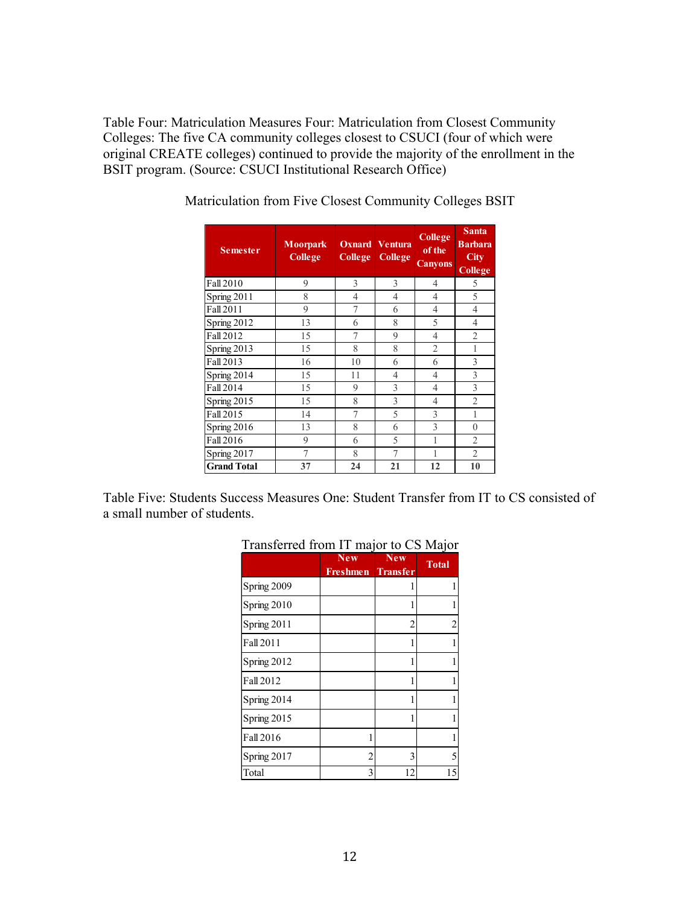Table Four: Matriculation Measures Four: Matriculation from Closest Community Colleges: The five CA community colleges closest to CSUCI (four of which were original CREATE colleges) continued to provide the majority of the enrollment in the BSIT program. (Source: CSUCI Institutional Research Office)

| <b>Semester</b>    | <b>Moorpark</b><br>College | <b>College</b> | <b>Oxnard</b> Ventura<br><b>College</b> | <b>College</b><br>of the<br><b>Canyons</b> | <b>Santa</b><br><b>Barbara</b><br>City<br>College |
|--------------------|----------------------------|----------------|-----------------------------------------|--------------------------------------------|---------------------------------------------------|
| Fall 2010          | 9                          | 3              | 3                                       | $\overline{4}$                             | 5                                                 |
| Spring 2011        | 8                          | 4              | 4                                       | 4                                          | 5                                                 |
| Fall 2011          | 9                          | 7              | 6                                       | 4                                          | $\overline{4}$                                    |
| Spring 2012        | 13                         | 6              | 8                                       | 5                                          | $\overline{4}$                                    |
| Fall 2012          | 15                         | 7              | 9                                       | $\overline{4}$                             | $\overline{2}$                                    |
| Spring 2013        | 15                         | 8              | 8                                       | $\overline{2}$                             | 1                                                 |
| Fall 2013          | 16                         | 10             | 6                                       | 6                                          | 3                                                 |
| Spring 2014        | 15                         | 11             | 4                                       | 4                                          | 3                                                 |
| Fall 2014          | 15                         | 9              | 3                                       | $\overline{4}$                             | 3                                                 |
| Spring 2015        | 15                         | 8              | 3                                       | 4                                          | $\overline{2}$                                    |
| Fall 2015          | 14                         | 7              | 5                                       | $\mathcal{E}$                              | 1                                                 |
| Spring 2016        | 13                         | 8              | 6                                       | $\mathcal{E}$                              | $\Omega$                                          |
| Fall 2016          | 9                          | 6              | 5                                       |                                            | $\overline{2}$                                    |
| Spring 2017        | 7                          | 8              | 7                                       |                                            | $\overline{2}$                                    |
| <b>Grand Total</b> | 37                         | 24             | 21                                      | 12                                         | 10                                                |

Matriculation from Five Closest Community Colleges BSIT

Table Five: Students Success Measures One: Student Transfer from IT to CS consisted of a small number of students.

|                  | <b>New</b><br><b>Freshmen</b> Transfer | <b>New</b>     | <b>Total</b> |
|------------------|----------------------------------------|----------------|--------------|
| Spring 2009      |                                        |                |              |
| Spring 2010      |                                        |                |              |
| Spring 2011      |                                        | $\overline{c}$ | 2            |
| Fall 2011        |                                        | 1              |              |
| Spring 2012      |                                        | 1              |              |
| <b>Fall 2012</b> |                                        |                |              |
| Spring 2014      |                                        | 1              |              |
| Spring 2015      |                                        | 1              |              |
| <b>Fall 2016</b> | 1                                      |                |              |
| Spring 2017      | $\overline{2}$                         | 3              | 5            |
| Total            | 3                                      | 12             | 15           |

## Transferred from IT major to CS Major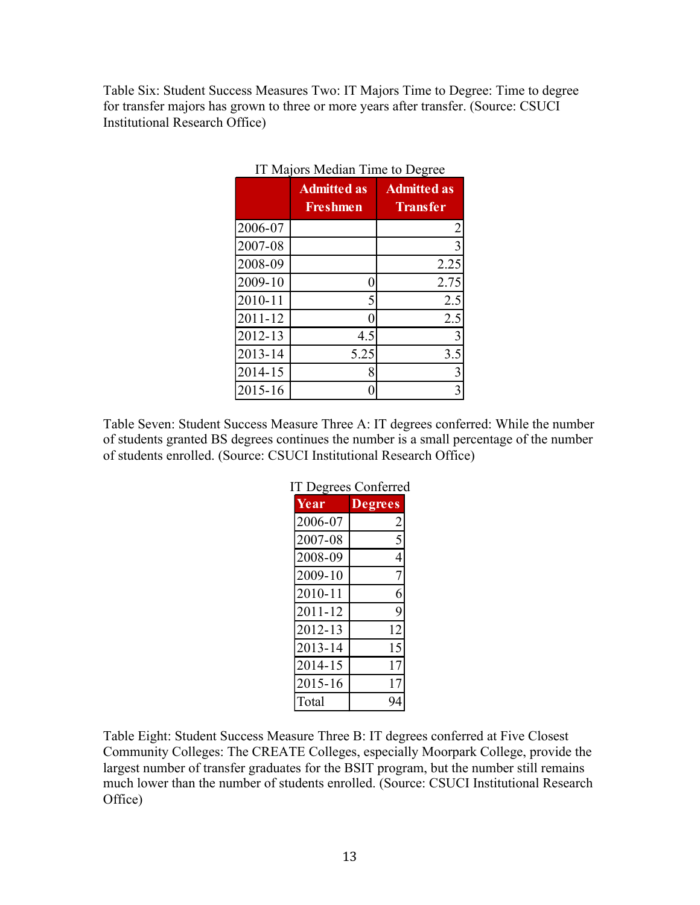Table Six: Student Success Measures Two: IT Majors Time to Degree: Time to degree for transfer majors has grown to three or more years after transfer. (Source: CSUCI Institutional Research Office)

|             | <b>Admitted as</b><br><b>Freshmen</b> | <b>Admitted as</b><br><b>Transfer</b> |
|-------------|---------------------------------------|---------------------------------------|
| 2006-07     |                                       | $\overline{c}$                        |
| 2007-08     |                                       | 3                                     |
| 2008-09     |                                       | 2.25                                  |
| 2009-10     | 0                                     | 2.75                                  |
| 2010-11     | 5                                     | 2.5                                   |
| 2011-12     | 0                                     | 2.5                                   |
| 2012-13     | 4.5                                   | 3                                     |
| $2013 - 14$ | 5.25                                  | 3.5                                   |
| 2014-15     | 8                                     | $\overline{3}$                        |
| 2015-16     |                                       | 3                                     |

| IT Majors Median Time to Degree |  |
|---------------------------------|--|
|---------------------------------|--|

Table Seven: Student Success Measure Three A: IT degrees conferred: While the number of students granted BS degrees continues the number is a small percentage of the number of students enrolled. (Source: CSUCI Institutional Research Office)

| <b>IT Degrees Conferred</b> |                |  |
|-----------------------------|----------------|--|
| Year                        | <b>Degrees</b> |  |
| 2006-07                     | 2              |  |
| 2007-08                     | 5              |  |
| 2008-09                     | 4              |  |
| 2009-10                     | 7              |  |
| 2010-11                     | 6              |  |
| 2011-12                     | 9              |  |
| 2012-13                     | 12             |  |
| 2013-14                     | 15             |  |
| 2014-15                     | 17             |  |
| 2015-16                     | 17             |  |
| Total                       |                |  |

Table Eight: Student Success Measure Three B: IT degrees conferred at Five Closest Community Colleges: The CREATE Colleges, especially Moorpark College, provide the largest number of transfer graduates for the BSIT program, but the number still remains much lower than the number of students enrolled. (Source: CSUCI Institutional Research Office)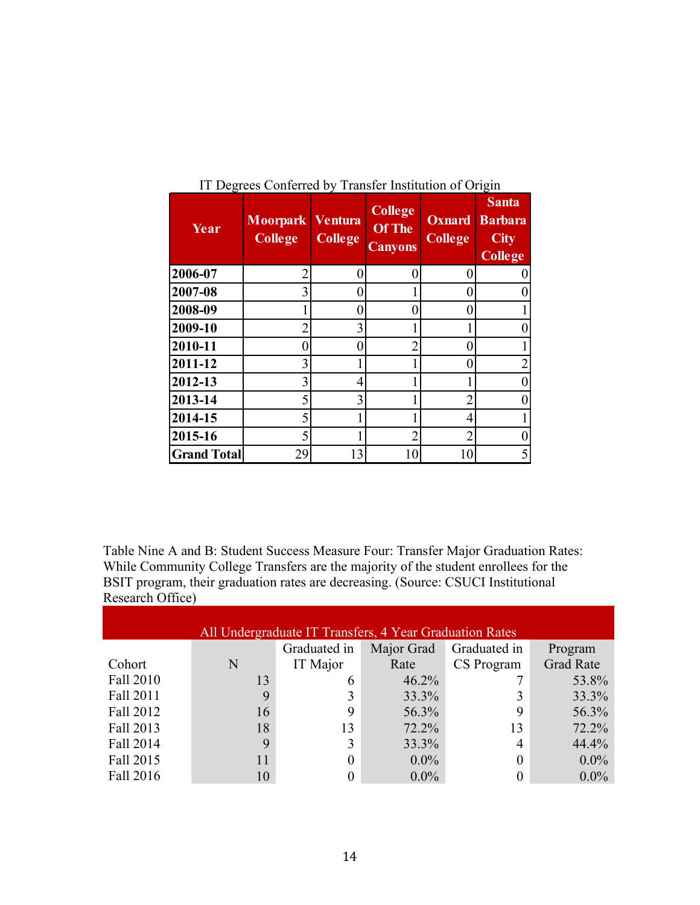| Year               | <b>Moorpark</b><br><b>College</b> | <b>Ventura</b><br><b>College</b> | <b>College</b><br><b>Of The</b><br><b>Canyons</b> | <b>Oxnard</b><br><b>College</b> | ت<br><b>Santa</b><br><b>Barbara</b><br><b>City</b><br><b>College</b> |
|--------------------|-----------------------------------|----------------------------------|---------------------------------------------------|---------------------------------|----------------------------------------------------------------------|
| 2006-07            | 2                                 |                                  | 0                                                 | 0                               |                                                                      |
| 2007-08            | 3                                 |                                  |                                                   | 0                               |                                                                      |
| 2008-09            |                                   |                                  | O                                                 | 0                               |                                                                      |
| 2009-10            | 2                                 | 3                                |                                                   |                                 |                                                                      |
| 2010-11            |                                   |                                  |                                                   | 0                               |                                                                      |
| 2011-12            | 3                                 |                                  |                                                   | 0                               |                                                                      |
| 2012-13            | 3                                 | 4                                |                                                   |                                 |                                                                      |
| 2013-14            | 5                                 | 3                                |                                                   |                                 |                                                                      |
| 2014-15            | 5                                 |                                  |                                                   | 4                               |                                                                      |
| 2015-16            | 5                                 |                                  | $\overline{2}$                                    | $\overline{2}$                  |                                                                      |
| <b>Grand Total</b> | 29                                | 13                               | 10                                                | 10                              |                                                                      |

IT Degrees Conferred by Transfer Institution of Origin

Table Nine A and B: Student Success Measure Four: Transfer Major Graduation Rates: While Community College Transfers are the majority of the student enrollees for the BSIT program, their graduation rates are decreasing. (Source: CSUCI Institutional Research Office)

| All Undergraduate IT Transfers, 4 Year Graduation Rates |    |                |            |                |                  |  |  |  |
|---------------------------------------------------------|----|----------------|------------|----------------|------------------|--|--|--|
|                                                         |    | Graduated in   | Major Grad | Graduated in   | Program          |  |  |  |
| Cohort                                                  | N  | IT Major       | Rate       | CS Program     | <b>Grad Rate</b> |  |  |  |
| Fall 2010                                               | 13 | 6              | 46.2%      |                | 53.8%            |  |  |  |
| Fall 2011                                               | 9  | 3              | 33.3%      |                | 33.3%            |  |  |  |
| Fall 2012                                               | 16 | 9              | 56.3%      | 9              | 56.3%            |  |  |  |
| Fall 2013                                               | 18 | 13             | 72.2%      | 13             | 72.2%            |  |  |  |
| Fall 2014                                               | 9  | 3              | 33.3%      | $\overline{4}$ | 44.4%            |  |  |  |
| Fall 2015                                               |    | $\overline{0}$ | $0.0\%$    |                | $0.0\%$          |  |  |  |
| Fall 2016                                               | 10 |                | $0.0\%$    |                | $0.0\%$          |  |  |  |